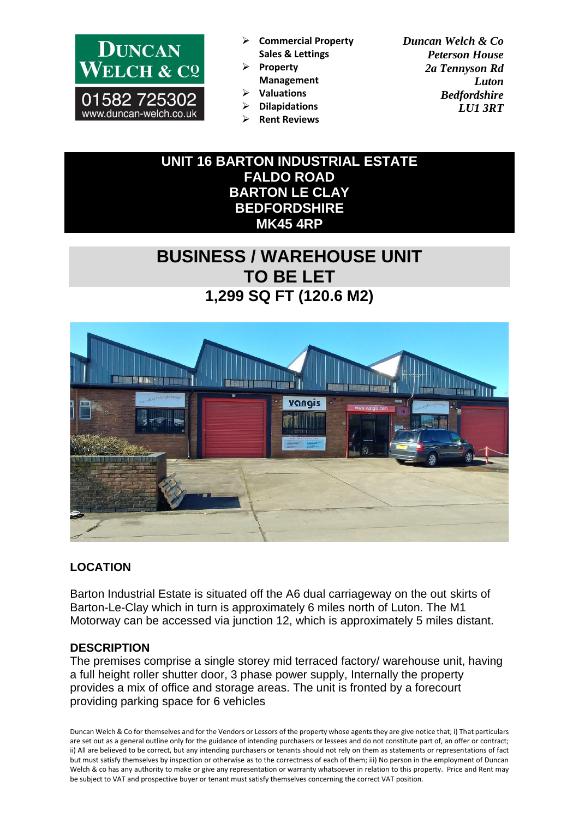

- ➢ **Commercial Property Sales & Lettings**
- ➢ **Property Management**

➢ **Dilapidations** ➢ **Rent Reviews**

➢ **Valuations** 

*Duncan Welch & Co Peterson House 2a Tennyson Rd Luton Bedfordshire LU1 3RT*

**UNIT 16 BARTON INDUSTRIAL ESTATE FALDO ROAD BARTON LE CLAY BEDFORDSHIRE MK45 4RP**

# **BUSINESS / WAREHOUSE UNIT TO BE LET 1,299 SQ FT (120.6 M2)**



## **LOCATION**

Barton Industrial Estate is situated off the A6 dual carriageway on the out skirts of Barton-Le-Clay which in turn is approximately 6 miles north of Luton. The M1 Motorway can be accessed via junction 12, which is approximately 5 miles distant.

## **DESCRIPTION**

The premises comprise a single storey mid terraced factory/ warehouse unit, having a full height roller shutter door, 3 phase power supply, Internally the property provides a mix of office and storage areas. The unit is fronted by a forecourt providing parking space for 6 vehicles

Duncan Welch & Co for themselves and for the Vendors or Lessors of the property whose agents they are give notice that; i) That particulars are set out as a general outline only for the guidance of intending purchasers or lessees and do not constitute part of, an offer or contract; ii) All are believed to be correct, but any intending purchasers or tenants should not rely on them as statements or representations of fact but must satisfy themselves by inspection or otherwise as to the correctness of each of them; iii) No person in the employment of Duncan Welch & co has any authority to make or give any representation or warranty whatsoever in relation to this property. Price and Rent may be subject to VAT and prospective buyer or tenant must satisfy themselves concerning the correct VAT position.